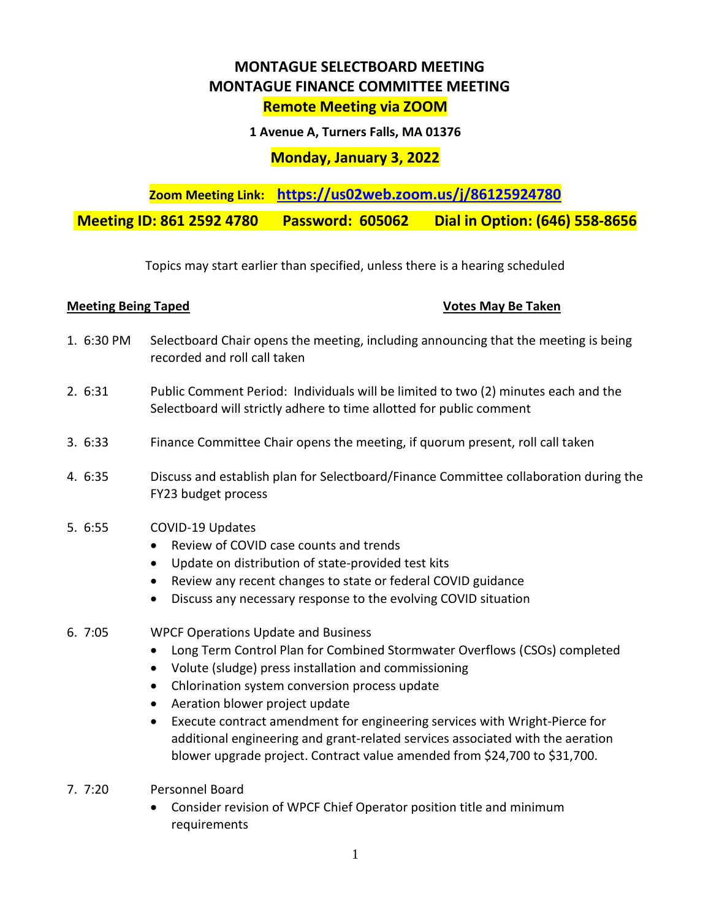# **MONTAGUE SELECTBOARD MEETING MONTAGUE FINANCE COMMITTEE MEETING Remote Meeting via ZOOM**

**1 Avenue A, Turners Falls, MA 01376**

## **Monday, January 3, 2022**

**Zoom Meeting Link: <https://us02web.zoom.us/j/86125924780>**

**Meeting ID: 861 2592 4780 Password: 605062 Dial in Option: (646) 558-8656** 

Topics may start earlier than specified, unless there is a hearing scheduled

### **Meeting Being Taped Votes May Be Taken**

- 1. 6:30 PM Selectboard Chair opens the meeting, including announcing that the meeting is being recorded and roll call taken
- 2. 6:31 Public Comment Period: Individuals will be limited to two (2) minutes each and the Selectboard will strictly adhere to time allotted for public comment
- 3. 6:33 Finance Committee Chair opens the meeting, if quorum present, roll call taken
- 4. 6:35 Discuss and establish plan for Selectboard/Finance Committee collaboration during the FY23 budget process

### 5. 6:55 COVID-19 Updates

- Review of COVID case counts and trends
- Update on distribution of state-provided test kits
- Review any recent changes to state or federal COVID guidance
- Discuss any necessary response to the evolving COVID situation

### 6. 7:05 WPCF Operations Update and Business

- Long Term Control Plan for Combined Stormwater Overflows (CSOs) completed
- Volute (sludge) press installation and commissioning
- Chlorination system conversion process update
- Aeration blower project update
- Execute contract amendment for engineering services with Wright-Pierce for additional engineering and grant-related services associated with the aeration blower upgrade project. Contract value amended from \$24,700 to \$31,700.
- 7. 7:20 Personnel Board
	- Consider revision of WPCF Chief Operator position title and minimum requirements